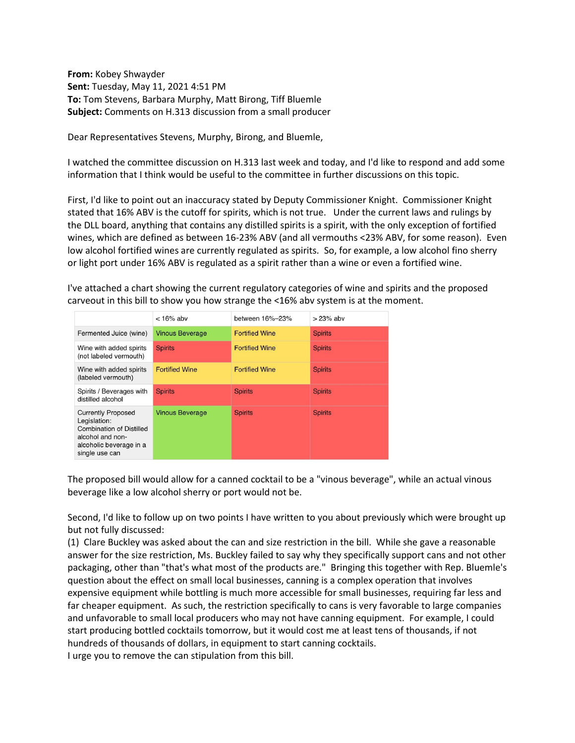**From:** Kobey Shwayder **Sent:** Tuesday, May 11, 2021 4:51 PM **To:** Tom Stevens, Barbara Murphy, Matt Birong, Tiff Bluemle **Subject:** Comments on H.313 discussion from a small producer

Dear Representatives Stevens, Murphy, Birong, and Bluemle,

I watched the committee discussion on H.313 last week and today, and I'd like to respond and add some information that I think would be useful to the committee in further discussions on this topic.

First, I'd like to point out an inaccuracy stated by Deputy Commissioner Knight. Commissioner Knight stated that 16% ABV is the cutoff for spirits, which is not true. Under the current laws and rulings by the DLL board, anything that contains any distilled spirits is a spirit, with the only exception of fortified wines, which are defined as between 16-23% ABV (and all vermouths <23% ABV, for some reason). Even low alcohol fortified wines are currently regulated as spirits. So, for example, a low alcohol fino sherry or light port under 16% ABV is regulated as a spirit rather than a wine or even a fortified wine.

| I've attached a chart showing the current regulatory categories of wine and spirits and the proposed |
|------------------------------------------------------------------------------------------------------|
| carveout in this bill to show you how strange the <16% abv system is at the moment.                  |

|                                                                                                                                               | $< 16\%$ aby           | between 16%-23%       | $>23\%$ aby    |
|-----------------------------------------------------------------------------------------------------------------------------------------------|------------------------|-----------------------|----------------|
| Fermented Juice (wine)                                                                                                                        | <b>Vinous Beverage</b> | <b>Fortified Wine</b> | <b>Spirits</b> |
| Wine with added spirits<br>(not labeled vermouth)                                                                                             | <b>Spirits</b>         | <b>Fortified Wine</b> | <b>Spirits</b> |
| Wine with added spirits<br>(labeled vermouth)                                                                                                 | <b>Fortified Wine</b>  | <b>Fortified Wine</b> | <b>Spirits</b> |
| Spirits / Beverages with<br>distilled alcohol                                                                                                 | <b>Spirits</b>         | <b>Spirits</b>        | <b>Spirits</b> |
| <b>Currently Proposed</b><br>Legislation:<br><b>Combination of Distilled</b><br>alcohol and non-<br>alcoholic beverage in a<br>single use can | <b>Vinous Beverage</b> | <b>Spirits</b>        | <b>Spirits</b> |

The proposed bill would allow for a canned cocktail to be a "vinous beverage", while an actual vinous beverage like a low alcohol sherry or port would not be.

Second, I'd like to follow up on two points I have written to you about previously which were brought up but not fully discussed:

(1) Clare Buckley was asked about the can and size restriction in the bill. While she gave a reasonable answer for the size restriction, Ms. Buckley failed to say why they specifically support cans and not other packaging, other than "that's what most of the products are." Bringing this together with Rep. Bluemle's question about the effect on small local businesses, canning is a complex operation that involves expensive equipment while bottling is much more accessible for small businesses, requiring far less and far cheaper equipment. As such, the restriction specifically to cans is very favorable to large companies and unfavorable to small local producers who may not have canning equipment. For example, I could start producing bottled cocktails tomorrow, but it would cost me at least tens of thousands, if not hundreds of thousands of dollars, in equipment to start canning cocktails.

I urge you to remove the can stipulation from this bill.